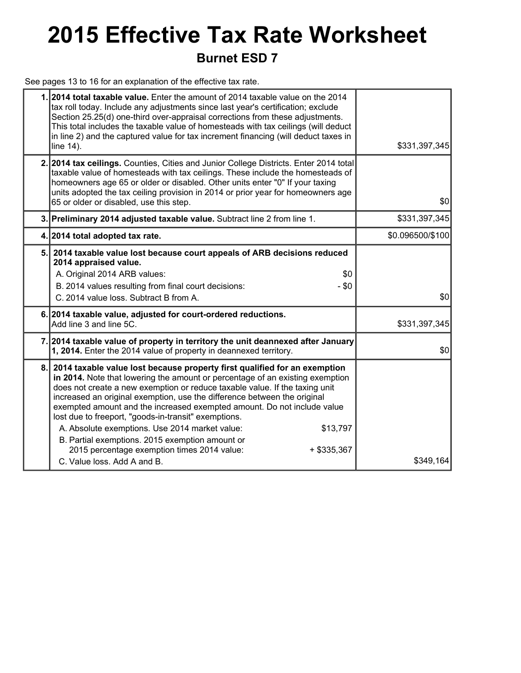## **2015 Effective Tax Rate Worksheet Burnet ESD 7**

See pages 13 to 16 for an explanation of the effective tax rate.

|    | 1.2014 total taxable value. Enter the amount of 2014 taxable value on the 2014<br>tax roll today. Include any adjustments since last year's certification; exclude<br>Section 25.25(d) one-third over-appraisal corrections from these adjustments.<br>This total includes the taxable value of homesteads with tax ceilings (will deduct<br>in line 2) and the captured value for tax increment financing (will deduct taxes in<br>line 14).                                                                                                                                                                                                                          | \$331,397,345    |
|----|------------------------------------------------------------------------------------------------------------------------------------------------------------------------------------------------------------------------------------------------------------------------------------------------------------------------------------------------------------------------------------------------------------------------------------------------------------------------------------------------------------------------------------------------------------------------------------------------------------------------------------------------------------------------|------------------|
|    | 2. 2014 tax ceilings. Counties, Cities and Junior College Districts. Enter 2014 total<br>taxable value of homesteads with tax ceilings. These include the homesteads of<br>homeowners age 65 or older or disabled. Other units enter "0" If your taxing<br>units adopted the tax ceiling provision in 2014 or prior year for homeowners age<br>65 or older or disabled, use this step.                                                                                                                                                                                                                                                                                 | \$0              |
|    | 3. Preliminary 2014 adjusted taxable value. Subtract line 2 from line 1.                                                                                                                                                                                                                                                                                                                                                                                                                                                                                                                                                                                               | \$331,397,345    |
|    | 4. 2014 total adopted tax rate.                                                                                                                                                                                                                                                                                                                                                                                                                                                                                                                                                                                                                                        | \$0.096500/\$100 |
| 5. | 2014 taxable value lost because court appeals of ARB decisions reduced<br>2014 appraised value.<br>A. Original 2014 ARB values:<br>\$0<br>B. 2014 values resulting from final court decisions:<br>$- $0$<br>C. 2014 value loss. Subtract B from A.                                                                                                                                                                                                                                                                                                                                                                                                                     | \$0              |
|    | 6. 2014 taxable value, adjusted for court-ordered reductions.<br>Add line 3 and line 5C.                                                                                                                                                                                                                                                                                                                                                                                                                                                                                                                                                                               | \$331,397,345    |
|    | 7. 2014 taxable value of property in territory the unit deannexed after January<br>1, 2014. Enter the 2014 value of property in deannexed territory.                                                                                                                                                                                                                                                                                                                                                                                                                                                                                                                   | \$0              |
| 8. | 2014 taxable value lost because property first qualified for an exemption<br>in 2014. Note that lowering the amount or percentage of an existing exemption<br>does not create a new exemption or reduce taxable value. If the taxing unit<br>increased an original exemption, use the difference between the original<br>exempted amount and the increased exempted amount. Do not include value<br>lost due to freeport, "goods-in-transit" exemptions.<br>A. Absolute exemptions. Use 2014 market value:<br>\$13,797<br>B. Partial exemptions. 2015 exemption amount or<br>2015 percentage exemption times 2014 value:<br>+ \$335,367<br>C. Value loss, Add A and B. | \$349,164        |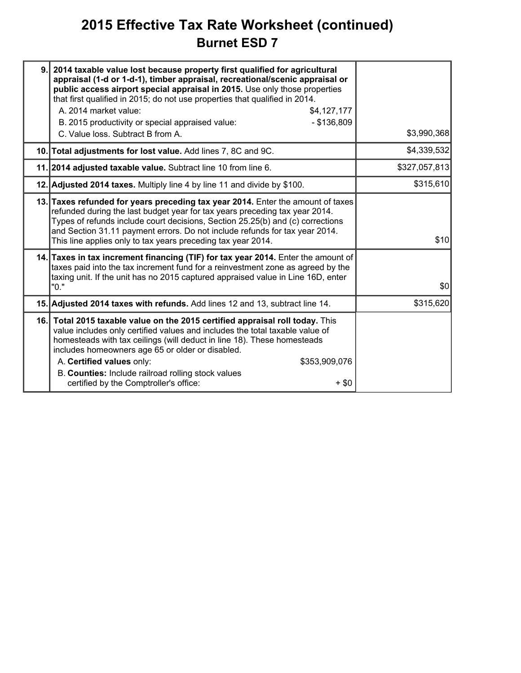### **2015 Effective Tax Rate Worksheet (continued) Burnet ESD 7**

| 9. | 2014 taxable value lost because property first qualified for agricultural<br>appraisal (1-d or 1-d-1), timber appraisal, recreational/scenic appraisal or<br>public access airport special appraisal in 2015. Use only those properties<br>that first qualified in 2015; do not use properties that qualified in 2014.<br>A. 2014 market value:<br>\$4,127,177<br>$-$ \$136,809<br>B. 2015 productivity or special appraised value:<br>C. Value loss. Subtract B from A. | \$3,990,368   |
|----|--------------------------------------------------------------------------------------------------------------------------------------------------------------------------------------------------------------------------------------------------------------------------------------------------------------------------------------------------------------------------------------------------------------------------------------------------------------------------|---------------|
|    | 10. Total adjustments for lost value. Add lines 7, 8C and 9C.                                                                                                                                                                                                                                                                                                                                                                                                            | \$4,339,532   |
|    | 11. 2014 adjusted taxable value. Subtract line 10 from line 6.                                                                                                                                                                                                                                                                                                                                                                                                           | \$327,057,813 |
|    | 12. Adjusted 2014 taxes. Multiply line 4 by line 11 and divide by \$100.                                                                                                                                                                                                                                                                                                                                                                                                 | \$315,610     |
|    | 13. Taxes refunded for years preceding tax year 2014. Enter the amount of taxes<br>refunded during the last budget year for tax years preceding tax year 2014.<br>Types of refunds include court decisions, Section 25.25(b) and (c) corrections<br>and Section 31.11 payment errors. Do not include refunds for tax year 2014.<br>This line applies only to tax years preceding tax year 2014.                                                                          | \$10          |
|    | 14. Taxes in tax increment financing (TIF) for tax year 2014. Enter the amount of<br>taxes paid into the tax increment fund for a reinvestment zone as agreed by the<br>taxing unit. If the unit has no 2015 captured appraised value in Line 16D, enter<br>"0."                                                                                                                                                                                                         | \$0           |
|    | 15. Adjusted 2014 taxes with refunds. Add lines 12 and 13, subtract line 14.                                                                                                                                                                                                                                                                                                                                                                                             | \$315,620     |
|    | 16. Total 2015 taxable value on the 2015 certified appraisal roll today. This<br>value includes only certified values and includes the total taxable value of<br>homesteads with tax ceilings (will deduct in line 18). These homesteads<br>includes homeowners age 65 or older or disabled.<br>A. Certified values only:<br>\$353,909,076<br>B. Counties: Include railroad rolling stock values<br>certified by the Comptroller's office:<br>$+$ \$0                    |               |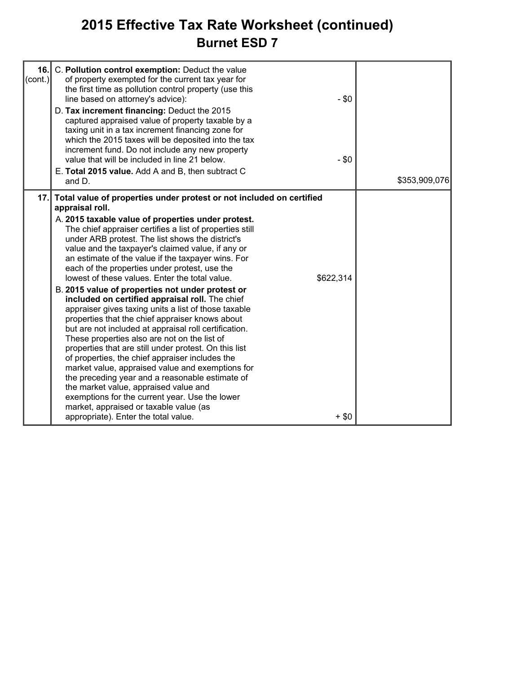### **2015 Effective Tax Rate Worksheet (continued) Burnet ESD 7**

| $\text{(cont.)}$ | 16. C. Pollution control exemption: Deduct the value<br>of property exempted for the current tax year for<br>the first time as pollution control property (use this<br>line based on attorney's advice):<br>D. Tax increment financing: Deduct the 2015<br>captured appraised value of property taxable by a<br>taxing unit in a tax increment financing zone for<br>which the 2015 taxes will be deposited into the tax<br>increment fund. Do not include any new property<br>value that will be included in line 21 below.<br>E. Total 2015 value. Add A and B, then subtract C                                                                                                                                                                                                                                                                                                                                                                                                                                                                                                                                                                                                                          | $-$ \$0<br>$- $0$    | \$353,909,076 |
|------------------|------------------------------------------------------------------------------------------------------------------------------------------------------------------------------------------------------------------------------------------------------------------------------------------------------------------------------------------------------------------------------------------------------------------------------------------------------------------------------------------------------------------------------------------------------------------------------------------------------------------------------------------------------------------------------------------------------------------------------------------------------------------------------------------------------------------------------------------------------------------------------------------------------------------------------------------------------------------------------------------------------------------------------------------------------------------------------------------------------------------------------------------------------------------------------------------------------------|----------------------|---------------|
|                  | and D.                                                                                                                                                                                                                                                                                                                                                                                                                                                                                                                                                                                                                                                                                                                                                                                                                                                                                                                                                                                                                                                                                                                                                                                                     |                      |               |
|                  | 17. Total value of properties under protest or not included on certified<br>appraisal roll.<br>A. 2015 taxable value of properties under protest.<br>The chief appraiser certifies a list of properties still<br>under ARB protest. The list shows the district's<br>value and the taxpayer's claimed value, if any or<br>an estimate of the value if the taxpayer wins. For<br>each of the properties under protest, use the<br>lowest of these values. Enter the total value.<br>B. 2015 value of properties not under protest or<br>included on certified appraisal roll. The chief<br>appraiser gives taxing units a list of those taxable<br>properties that the chief appraiser knows about<br>but are not included at appraisal roll certification.<br>These properties also are not on the list of<br>properties that are still under protest. On this list<br>of properties, the chief appraiser includes the<br>market value, appraised value and exemptions for<br>the preceding year and a reasonable estimate of<br>the market value, appraised value and<br>exemptions for the current year. Use the lower<br>market, appraised or taxable value (as<br>appropriate). Enter the total value. | \$622,314<br>$+$ \$0 |               |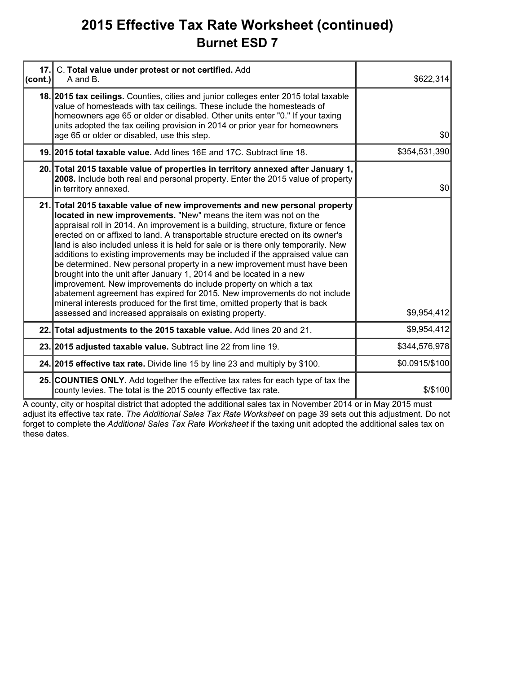### **2015 Effective Tax Rate Worksheet (continued) Burnet ESD 7**

| 17.<br>(cont.) | C. Total value under protest or not certified. Add<br>A and B.                                                                                                                                                                                                                                                                                                                                                                                                                                                                                                                                                                                                                                                                                                                                                                                                                                                                               | \$622,314      |
|----------------|----------------------------------------------------------------------------------------------------------------------------------------------------------------------------------------------------------------------------------------------------------------------------------------------------------------------------------------------------------------------------------------------------------------------------------------------------------------------------------------------------------------------------------------------------------------------------------------------------------------------------------------------------------------------------------------------------------------------------------------------------------------------------------------------------------------------------------------------------------------------------------------------------------------------------------------------|----------------|
|                | 18. 2015 tax cellings. Counties, cities and junior colleges enter 2015 total taxable<br>value of homesteads with tax ceilings. These include the homesteads of<br>homeowners age 65 or older or disabled. Other units enter "0." If your taxing<br>units adopted the tax ceiling provision in 2014 or prior year for homeowners<br>age 65 or older or disabled, use this step.                                                                                                                                                                                                                                                                                                                                                                                                                                                                                                                                                               | \$0            |
|                | 19. 2015 total taxable value. Add lines 16E and 17C. Subtract line 18.                                                                                                                                                                                                                                                                                                                                                                                                                                                                                                                                                                                                                                                                                                                                                                                                                                                                       | \$354,531,390  |
|                | 20. Total 2015 taxable value of properties in territory annexed after January 1,<br>2008. Include both real and personal property. Enter the 2015 value of property<br>in territory annexed.                                                                                                                                                                                                                                                                                                                                                                                                                                                                                                                                                                                                                                                                                                                                                 | \$0            |
|                | 21. Total 2015 taxable value of new improvements and new personal property<br>located in new improvements. "New" means the item was not on the<br>appraisal roll in 2014. An improvement is a building, structure, fixture or fence<br>erected on or affixed to land. A transportable structure erected on its owner's<br>land is also included unless it is held for sale or is there only temporarily. New<br>additions to existing improvements may be included if the appraised value can<br>be determined. New personal property in a new improvement must have been<br>brought into the unit after January 1, 2014 and be located in a new<br>improvement. New improvements do include property on which a tax<br>abatement agreement has expired for 2015. New improvements do not include<br>mineral interests produced for the first time, omitted property that is back<br>assessed and increased appraisals on existing property. | \$9,954,412    |
|                | 22. Total adjustments to the 2015 taxable value. Add lines 20 and 21.                                                                                                                                                                                                                                                                                                                                                                                                                                                                                                                                                                                                                                                                                                                                                                                                                                                                        | \$9,954,412    |
|                | 23. 2015 adjusted taxable value. Subtract line 22 from line 19.                                                                                                                                                                                                                                                                                                                                                                                                                                                                                                                                                                                                                                                                                                                                                                                                                                                                              | \$344,576,978  |
|                | 24. 2015 effective tax rate. Divide line 15 by line 23 and multiply by \$100.                                                                                                                                                                                                                                                                                                                                                                                                                                                                                                                                                                                                                                                                                                                                                                                                                                                                | \$0.0915/\$100 |
|                | 25. COUNTIES ONLY. Add together the effective tax rates for each type of tax the<br>county levies. The total is the 2015 county effective tax rate.                                                                                                                                                                                                                                                                                                                                                                                                                                                                                                                                                                                                                                                                                                                                                                                          | \$/\$100       |

A county, city or hospital district that adopted the additional sales tax in November 2014 or in May 2015 must adjust its effective tax rate. *The Additional Sales Tax Rate Worksheet* on page 39 sets out this adjustment. Do not forget to complete the *Additional Sales Tax Rate Worksheet* if the taxing unit adopted the additional sales tax on these dates.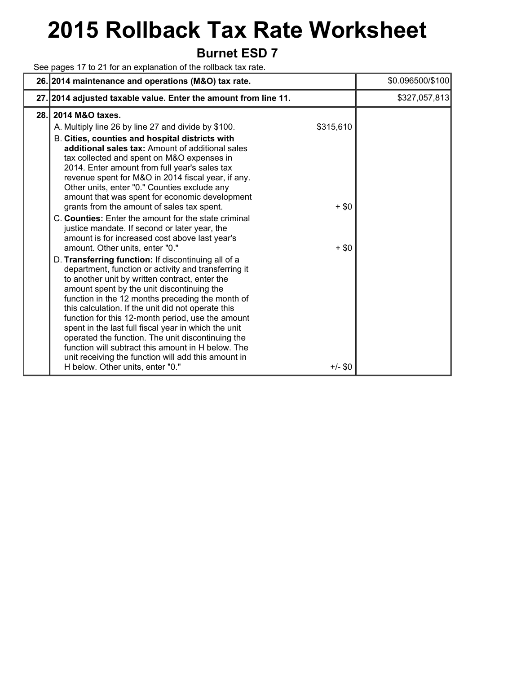# **2015 Rollback Tax Rate Worksheet**

### **Burnet ESD 7**

See pages 17 to 21 for an explanation of the rollback tax rate.

|      | 26. 2014 maintenance and operations (M&O) tax rate.                                                                                                                                                                                                                                                                                                                                                                                                                                                                                                                                                                                                                                                                                                                                                                                                                                                                                                                                                                                                                                                                                                                                                                                                                                                                          |                                              | \$0.096500/\$100 |
|------|------------------------------------------------------------------------------------------------------------------------------------------------------------------------------------------------------------------------------------------------------------------------------------------------------------------------------------------------------------------------------------------------------------------------------------------------------------------------------------------------------------------------------------------------------------------------------------------------------------------------------------------------------------------------------------------------------------------------------------------------------------------------------------------------------------------------------------------------------------------------------------------------------------------------------------------------------------------------------------------------------------------------------------------------------------------------------------------------------------------------------------------------------------------------------------------------------------------------------------------------------------------------------------------------------------------------------|----------------------------------------------|------------------|
|      | 27. 2014 adjusted taxable value. Enter the amount from line 11.                                                                                                                                                                                                                                                                                                                                                                                                                                                                                                                                                                                                                                                                                                                                                                                                                                                                                                                                                                                                                                                                                                                                                                                                                                                              |                                              | \$327,057,813    |
| 28.1 | 2014 M&O taxes.<br>A. Multiply line 26 by line 27 and divide by \$100.<br>B. Cities, counties and hospital districts with<br>additional sales tax: Amount of additional sales<br>tax collected and spent on M&O expenses in<br>2014. Enter amount from full year's sales tax<br>revenue spent for M&O in 2014 fiscal year, if any.<br>Other units, enter "0." Counties exclude any<br>amount that was spent for economic development<br>grants from the amount of sales tax spent.<br>C. Counties: Enter the amount for the state criminal<br>justice mandate. If second or later year, the<br>amount is for increased cost above last year's<br>amount. Other units, enter "0."<br>D. Transferring function: If discontinuing all of a<br>department, function or activity and transferring it<br>to another unit by written contract, enter the<br>amount spent by the unit discontinuing the<br>function in the 12 months preceding the month of<br>this calculation. If the unit did not operate this<br>function for this 12-month period, use the amount<br>spent in the last full fiscal year in which the unit<br>operated the function. The unit discontinuing the<br>function will subtract this amount in H below. The<br>unit receiving the function will add this amount in<br>H below. Other units, enter "0." | \$315,610<br>$+$ \$0<br>$+$ \$0<br>$+/-$ \$0 |                  |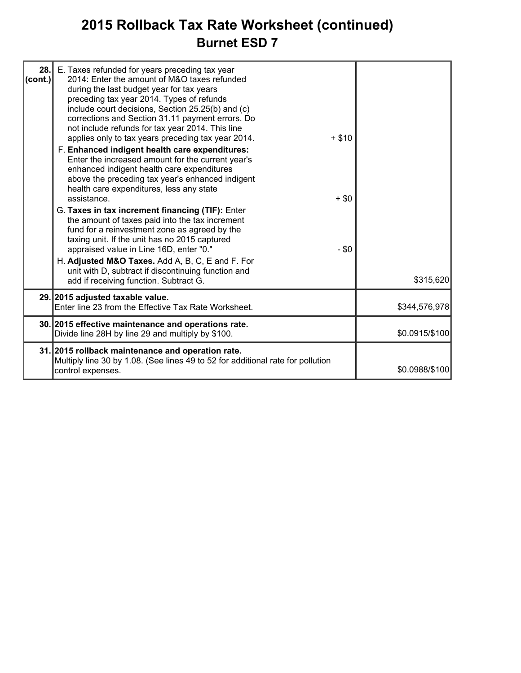### **2015 Rollback Tax Rate Worksheet (continued) Burnet ESD 7**

| 28.1<br> cont. | E. Taxes refunded for years preceding tax year<br>2014: Enter the amount of M&O taxes refunded<br>during the last budget year for tax years<br>preceding tax year 2014. Types of refunds<br>include court decisions, Section 25.25(b) and (c)<br>corrections and Section 31.11 payment errors. Do<br>not include refunds for tax year 2014. This line<br>applies only to tax years preceding tax year 2014.<br>F. Enhanced indigent health care expenditures:<br>Enter the increased amount for the current year's<br>enhanced indigent health care expenditures<br>above the preceding tax year's enhanced indigent<br>health care expenditures, less any state<br>assistance.<br>G. Taxes in tax increment financing (TIF): Enter<br>the amount of taxes paid into the tax increment<br>fund for a reinvestment zone as agreed by the<br>taxing unit. If the unit has no 2015 captured<br>appraised value in Line 16D, enter "0." | $+ $10$<br>$+$ \$0<br>$- $0$ |                |
|----------------|-------------------------------------------------------------------------------------------------------------------------------------------------------------------------------------------------------------------------------------------------------------------------------------------------------------------------------------------------------------------------------------------------------------------------------------------------------------------------------------------------------------------------------------------------------------------------------------------------------------------------------------------------------------------------------------------------------------------------------------------------------------------------------------------------------------------------------------------------------------------------------------------------------------------------------------|------------------------------|----------------|
|                | H. Adjusted M&O Taxes. Add A, B, C, E and F. For<br>unit with D, subtract if discontinuing function and<br>add if receiving function. Subtract G.                                                                                                                                                                                                                                                                                                                                                                                                                                                                                                                                                                                                                                                                                                                                                                                   |                              | \$315,620      |
|                | 29. 2015 adjusted taxable value.<br>Enter line 23 from the Effective Tax Rate Worksheet.                                                                                                                                                                                                                                                                                                                                                                                                                                                                                                                                                                                                                                                                                                                                                                                                                                            |                              | \$344,576,978  |
|                | 30. 2015 effective maintenance and operations rate.<br>Divide line 28H by line 29 and multiply by \$100.                                                                                                                                                                                                                                                                                                                                                                                                                                                                                                                                                                                                                                                                                                                                                                                                                            |                              | \$0.0915/\$100 |
|                | 31. 2015 rollback maintenance and operation rate.<br>Multiply line 30 by 1.08. (See lines 49 to 52 for additional rate for pollution<br>control expenses.                                                                                                                                                                                                                                                                                                                                                                                                                                                                                                                                                                                                                                                                                                                                                                           |                              | \$0.0988/\$100 |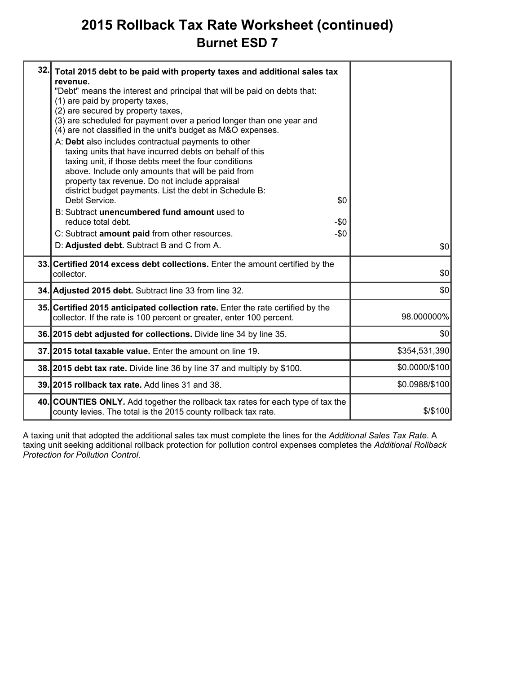### **2015 Rollback Tax Rate Worksheet (continued) Burnet ESD 7**

| 32. | Total 2015 debt to be paid with property taxes and additional sales tax<br>revenue.<br>"Debt" means the interest and principal that will be paid on debts that:<br>(1) are paid by property taxes,<br>(2) are secured by property taxes,<br>(3) are scheduled for payment over a period longer than one year and<br>(4) are not classified in the unit's budget as M&O expenses.<br>A: Debt also includes contractual payments to other<br>taxing units that have incurred debts on behalf of this<br>taxing unit, if those debts meet the four conditions<br>above. Include only amounts that will be paid from<br>property tax revenue. Do not include appraisal<br>district budget payments. List the debt in Schedule B:<br>Debt Service.<br>\$0<br>B: Subtract unencumbered fund amount used to<br>reduce total debt.<br>$-\$0$<br>C: Subtract amount paid from other resources.<br>-\$0<br>D: Adjusted debt. Subtract B and C from A. | \$0            |
|-----|---------------------------------------------------------------------------------------------------------------------------------------------------------------------------------------------------------------------------------------------------------------------------------------------------------------------------------------------------------------------------------------------------------------------------------------------------------------------------------------------------------------------------------------------------------------------------------------------------------------------------------------------------------------------------------------------------------------------------------------------------------------------------------------------------------------------------------------------------------------------------------------------------------------------------------------------|----------------|
|     | 33. Certified 2014 excess debt collections. Enter the amount certified by the<br>collector.                                                                                                                                                                                                                                                                                                                                                                                                                                                                                                                                                                                                                                                                                                                                                                                                                                                 | \$0            |
|     | 34. Adjusted 2015 debt. Subtract line 33 from line 32.                                                                                                                                                                                                                                                                                                                                                                                                                                                                                                                                                                                                                                                                                                                                                                                                                                                                                      | \$0            |
|     | 35. Certified 2015 anticipated collection rate. Enter the rate certified by the<br>collector. If the rate is 100 percent or greater, enter 100 percent.                                                                                                                                                                                                                                                                                                                                                                                                                                                                                                                                                                                                                                                                                                                                                                                     | 98.000000%     |
|     | 36. 2015 debt adjusted for collections. Divide line 34 by line 35.                                                                                                                                                                                                                                                                                                                                                                                                                                                                                                                                                                                                                                                                                                                                                                                                                                                                          | \$0            |
|     | 37.12015 total taxable value. Enter the amount on line 19.                                                                                                                                                                                                                                                                                                                                                                                                                                                                                                                                                                                                                                                                                                                                                                                                                                                                                  | \$354,531,390  |
|     | 38. 2015 debt tax rate. Divide line 36 by line 37 and multiply by \$100.                                                                                                                                                                                                                                                                                                                                                                                                                                                                                                                                                                                                                                                                                                                                                                                                                                                                    | \$0.0000/\$100 |
|     | 39. 2015 rollback tax rate. Add lines 31 and 38.                                                                                                                                                                                                                                                                                                                                                                                                                                                                                                                                                                                                                                                                                                                                                                                                                                                                                            | \$0.0988/\$100 |
|     | 40. COUNTIES ONLY. Add together the rollback tax rates for each type of tax the<br>county levies. The total is the 2015 county rollback tax rate.                                                                                                                                                                                                                                                                                                                                                                                                                                                                                                                                                                                                                                                                                                                                                                                           | \$/\$100       |
|     |                                                                                                                                                                                                                                                                                                                                                                                                                                                                                                                                                                                                                                                                                                                                                                                                                                                                                                                                             |                |

A taxing unit that adopted the additional sales tax must complete the lines for the *Additional Sales Tax Rate*. A taxing unit seeking additional rollback protection for pollution control expenses completes the *Additional Rollback Protection for Pollution Control*.